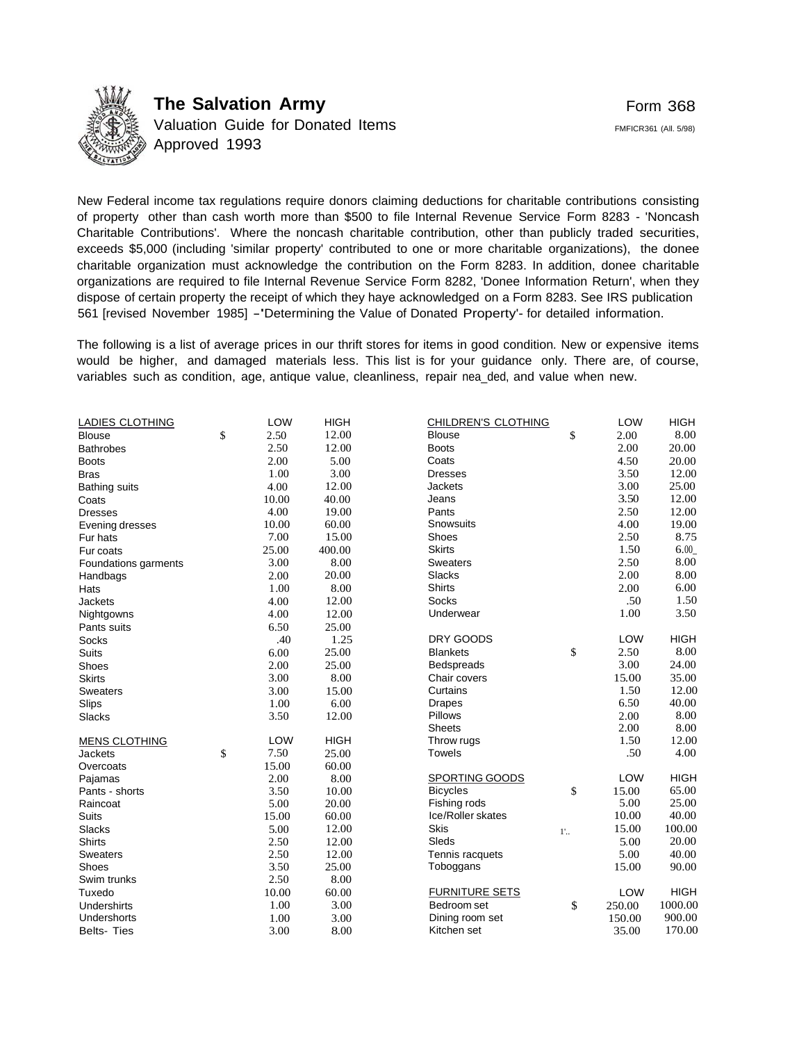

**The Salvation Army** Valuation Guide for Donated Items Approved 1993

New Federal income tax regulations require donors claiming deductions for charitable contributions consisting of property other than cash worth more than \$500 to file Internal Revenue Service Form 8283 - 'Noncash Charitable Contributions'. Where the noncash charitable contribution, other than publicly traded securities, exceeds \$5,000 (including 'similar property' contributed to one or more charitable organizations), the donee charitable organization must acknowledge the contribution on the Form 8283. In addition, donee charitable organizations are required to file Internal Revenue Service Form 8282, 'Donee Information Return', when they dispose of certain property the receipt of which they haye acknowledged on a Form 8283. See IRS publication 561 [revised November 1985] -'Determining the Value of Donated Property'- for detailed information.

The following is a list of average prices in our thrift stores for items in good condition. New or expensive items would be higher, and damaged materials less. This list is for your guidance only. There are, of course, variables such as condition, age, antique value, cleanliness, repair nea\_ded, and value when new.

| <b>LADIES CLOTHING</b> | LOW        | <b>HIGH</b> | CHILDREN'S CLOTHING   |              | LOW        | <b>HIGH</b> |
|------------------------|------------|-------------|-----------------------|--------------|------------|-------------|
| <b>Blouse</b>          | \$<br>2.50 | 12.00       | <b>Blouse</b>         | \$           | 2.00       | 8.00        |
| <b>Bathrobes</b>       | 2.50       | 12.00       | <b>Boots</b>          |              | 2.00       | 20.00       |
| <b>Boots</b>           | 2.00       | 5.00        | Coats                 |              | 4.50       | 20.00       |
| <b>Bras</b>            | 1.00       | 3.00        | <b>Dresses</b>        |              | 3.50       | 12.00       |
| <b>Bathing suits</b>   | 4.00       | 12.00       | Jackets               |              | 3.00       | 25.00       |
| Coats                  | 10.00      | 40.00       | Jeans                 |              | 3.50       | 12.00       |
| <b>Dresses</b>         | 4.00       | 19.00       | Pants                 |              | 2.50       | 12.00       |
| Evening dresses        | 10.00      | 60.00       | Snowsuits             |              | 4.00       | 19.00       |
| Fur hats               | 7.00       | 15.00       | Shoes                 |              | 2.50       | 8.75        |
| Fur coats              | 25.00      | 400.00      | <b>Skirts</b>         |              | 1.50       | 6.00        |
| Foundations garments   | 3.00       | 8.00        | <b>Sweaters</b>       |              | 2.50       | 8.00        |
| Handbags               | 2.00       | 20.00       | Slacks                |              | 2.00       | 8.00        |
| Hats                   | 1.00       | 8.00        | <b>Shirts</b>         |              | 2.00       | 6.00        |
| <b>Jackets</b>         | 4.00       | 12.00       | <b>Socks</b>          |              | .50        | 1.50        |
| Nightgowns             | 4.00       | 12.00       | Underwear             |              | 1.00       | 3.50        |
| Pants suits            | 6.50       | 25.00       |                       |              |            |             |
| <b>Socks</b>           | .40        | 1.25        | DRY GOODS             |              | LOW        | <b>HIGH</b> |
| Suits                  | 6.00       | 25.00       | <b>Blankets</b>       | \$           | 2.50       | 8.00        |
| Shoes                  | 2.00       | 25.00       | <b>Bedspreads</b>     |              | 3.00       | 24.00       |
| <b>Skirts</b>          | 3.00       | 8.00        | Chair covers          |              | 15.00      | 35.00       |
| Sweaters               | 3.00       | 15.00       | Curtains              |              | 1.50       | 12.00       |
| Slips                  | 1.00       | 6.00        | <b>Drapes</b>         |              | 6.50       | 40.00       |
| <b>Slacks</b>          | 3.50       | 12.00       | Pillows               |              | 2.00       | 8.00        |
|                        |            |             | <b>Sheets</b>         |              | 2.00       | 8.00        |
| <b>MENS CLOTHING</b>   | LOW        | <b>HIGH</b> | Throw rugs            |              | 1.50       | 12.00       |
| <b>Jackets</b>         | \$<br>7.50 | 25.00       | <b>Towels</b>         |              | .50        | 4.00        |
| Overcoats              | 15.00      | 60.00       |                       |              |            |             |
| Pajamas                | 2.00       | 8.00        | SPORTING GOODS        |              | LOW        | <b>HIGH</b> |
| Pants - shorts         | 3.50       | 10.00       | <b>Bicycles</b>       | \$           | 15.00      | 65.00       |
| Raincoat               | 5.00       | 20.00       | Fishing rods          |              | 5.00       | 25.00       |
| <b>Suits</b>           | 15.00      | 60.00       | Ice/Roller skates     |              | 10.00      | 40.00       |
| <b>Slacks</b>          | 5.00       | 12.00       | Skis                  | $1^{\prime}$ | 15.00      | 100.00      |
| Shirts                 | 2.50       | 12.00       | Sleds                 |              | 5.00       | 20.00       |
| <b>Sweaters</b>        | 2.50       | 12.00       | Tennis racquets       |              | 5.00       | 40.00       |
| Shoes                  | 3.50       | 25.00       | Toboggans             |              | 15.00      | 90.00       |
| Swim trunks            | 2.50       | 8.00        |                       |              |            |             |
| Tuxedo                 | 10.00      | 60.00       | <b>FURNITURE SETS</b> |              | <b>LOW</b> | <b>HIGH</b> |
| <b>Undershirts</b>     | 1.00       | 3.00        | Bedroom set           | \$           | 250.00     | 1000.00     |
| Undershorts            | 1.00       | 3.00        | Dining room set       |              | 150.00     | 900.00      |
| <b>Belts-Ties</b>      | 3.00       | 8.00        | Kitchen set           |              | 35.00      | 170.00      |